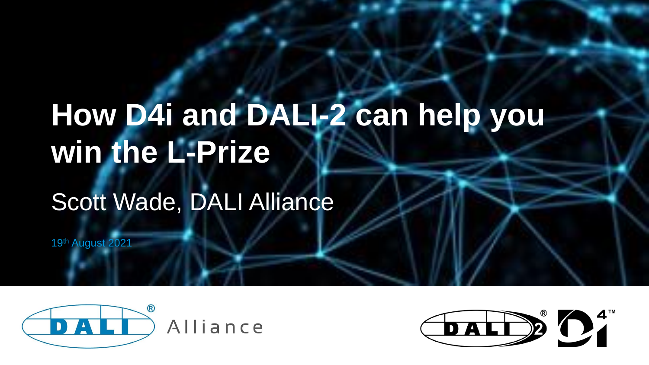# **How D4i and DALI-2 can help you win the L-Prize**

## Scott Wade, DALI Alliance

19th August 2021



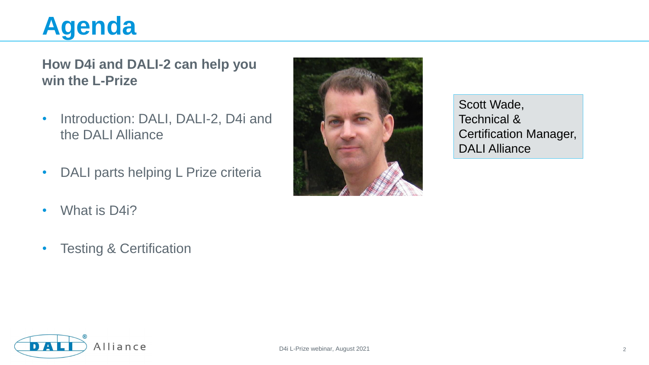#### **Agenda**

#### **How D4i and DALI-2 can help you win the L-Prize**

- Introduction: DALI, DALI-2, D4i and the DALI Alliance
- DALI parts helping L Prize criteria
- What is D4i?
- Testing & Certification



Scott Wade, Technical & Certification Manager, DALI Alliance

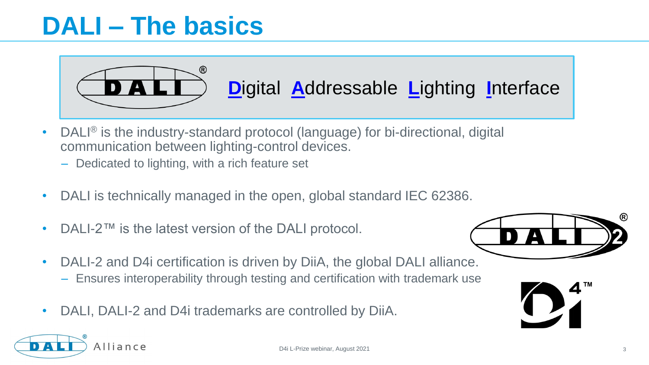#### **DALI – The basics**

Alliance



- DALI® is the industry-standard protocol (language) for bi-directional, digital communication between lighting-control devices.
	- Dedicated to lighting, with a rich feature set
- DALI is technically managed in the open, global standard IEC 62386.
- DALI-2™ is the latest version of the DALI protocol.



- DALI-2 and D4i certification is driven by DiiA, the global DALI alliance.
	- Ensures interoperability through testing and certification with trademark use
- DALI, DALI-2 and D4i trademarks are controlled by DiiA.

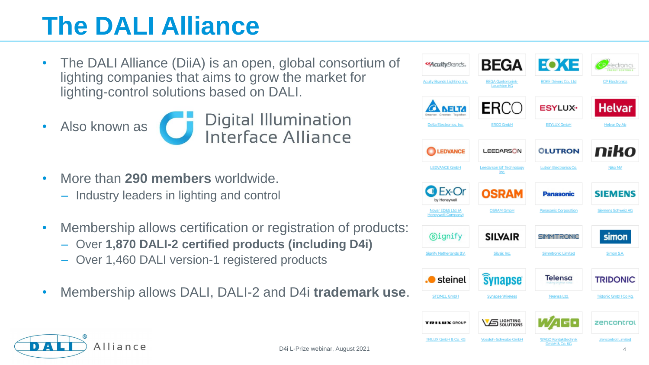### **The DALI Alliance**

- The DALI Alliance (DiiA) is an open, global consortium of lighting companies that aims to grow the market for lighting-control solutions based on DALI.
- Also known as

Digital Illumination<br>Interface Alliance

- More than **290 members** worldwide. – Industry leaders in lighting and control
- Membership allows certification or registration of products:
	- Over **1,870 DALI-2 certified products (including D4i)**
	- Over 1,460 DALI version-1 registered products
- Membership allows DALI, DALI-2 and D4i **trademark use**.



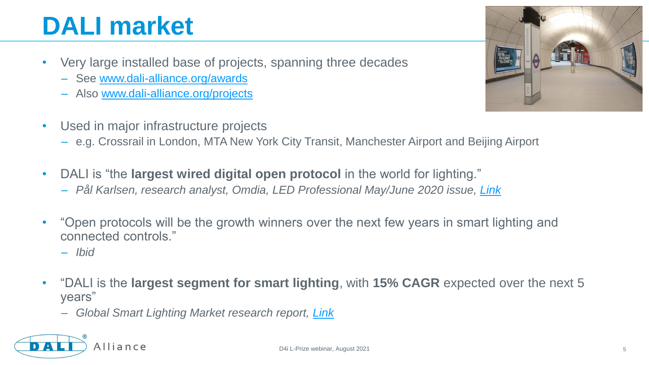### **DALI market**

- Very large installed base of projects, spanning three decades
	- See [www.dali-alliance.org/awards](https://www.dali-alliance.org/awards/)
	- Also [www.dali-alliance.org/projects](https://www.dali-alliance.org/projects/)
- Used in major infrastructure projects
	- e.g. Crossrail in London, MTA New York City Transit, Manchester Airport and Beijing Airport
- DALI is "the **largest wired digital open protocol** in the world for lighting." – *Pål Karlsen, research analyst, Omdia, LED Professional May/June 2020 issue, [Link](https://www.dali-alliance.org/news/235/open-lighting-control-standards-and-future-proofing)*
- "Open protocols will be the growth winners over the next few years in smart lighting and connected controls."
	- *Ibid*
- "DALI is the **largest segment for smart lighting**, with **15% CAGR** expected over the next 5 years"
	- *Global Smart Lighting Market research report, [Link](https://www.businesswire.com/news/home/20200226005519/en/Global-Smart-Lighting-Market-2019-to-2026)*





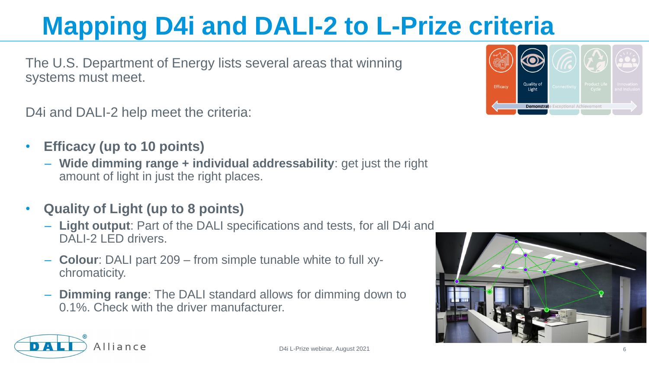The U.S. Department of Energy lists several areas that winning systems must meet.

D4i and DALI-2 help meet the criteria:

- **Efficacy (up to 10 points)**
	- **Wide dimming range + individual addressability**: get just the right amount of light in just the right places.
- **Quality of Light (up to 8 points)**
	- **Light output**: Part of the DALI specifications and tests, for all D4i and DALI-2 LED drivers.
	- **Colour**: DALI part 209 from simple tunable white to full xychromaticity.
	- **Dimming range**: The DALI standard allows for dimming down to 0.1%. Check with the driver manufacturer.





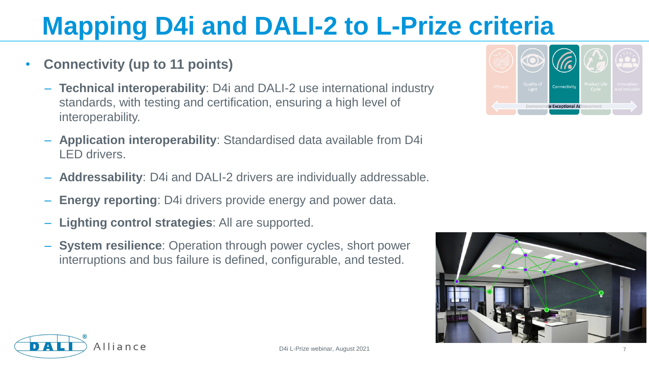- **Connectivity (up to 11 points)**
	- **Technical interoperability**: D4i and DALI-2 use international industry standards, with testing and certification, ensuring a high level of interoperability.
	- **Application interoperability**: Standardised data available from D4i LED drivers.
	- **Addressability**: D4i and DALI-2 drivers are individually addressable.
	- **Energy reporting**: D4i drivers provide energy and power data.
	- **Lighting control strategies**: All are supported.
	- **System resilience**: Operation through power cycles, short power interruptions and bus failure is defined, configurable, and tested.





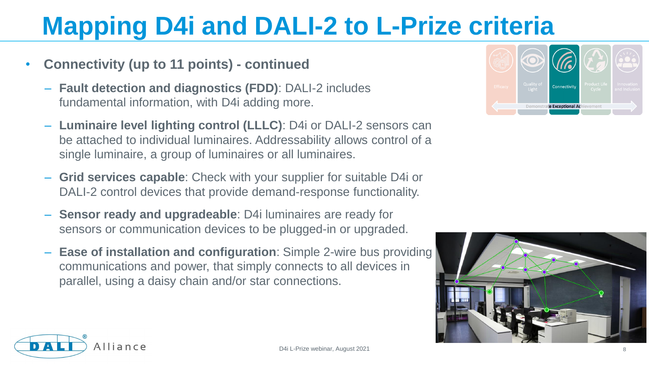- **Connectivity (up to 11 points) - continued**
	- **Fault detection and diagnostics (FDD)**: DALI-2 includes fundamental information, with D4i adding more.
	- **Luminaire level lighting control (LLLC)**: D4i or DALI-2 sensors can be attached to individual luminaires. Addressability allows control of a single luminaire, a group of luminaires or all luminaires.
	- **Grid services capable**: Check with your supplier for suitable D4i or DALI-2 control devices that provide demand-response functionality.
	- **Sensor ready and upgradeable**: D4i luminaires are ready for sensors or communication devices to be plugged-in or upgraded.
	- **Ease of installation and configuration**: Simple 2-wire bus providing communications and power, that simply connects to all devices in parallel, using a daisy chain and/or star connections.





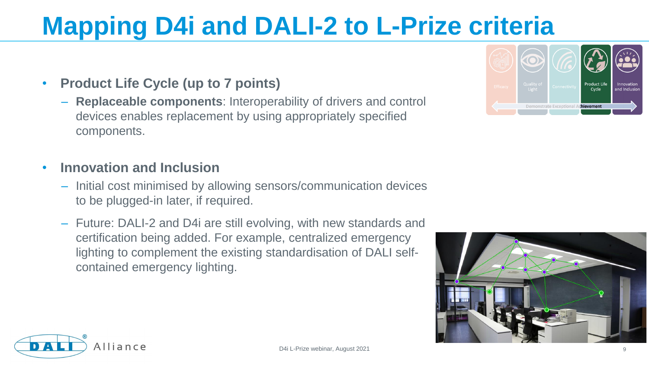- **Product Life Cycle (up to 7 points)**
	- **Replaceable components**: Interoperability of drivers and control devices enables replacement by using appropriately specified components.
- **Innovation and Inclusion**
	- Initial cost minimised by allowing sensors/communication devices to be plugged-in later, if required.
	- Future: DALI-2 and D4i are still evolving, with new standards and certification being added. For example, centralized emergency lighting to complement the existing standardisation of DALI selfcontained emergency lighting.







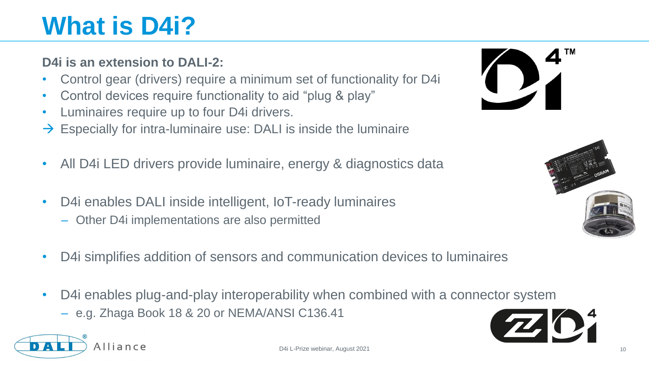### **What is D4i?**

Alliance

#### **D4i is an extension to DALI-2:**

- Control gear (drivers) require a minimum set of functionality for D4i
- Control devices require functionality to aid "plug & play"
- Luminaires require up to four D4i drivers.
- $\rightarrow$  Especially for intra-luminaire use: DALI is inside the luminaire
- All D4i LED drivers provide luminaire, energy & diagnostics data
- D4i enables DALI inside intelligent, IoT-ready luminaires
	- Other D4i implementations are also permitted
- D4i simplifies addition of sensors and communication devices to luminaires
- D4i enables plug-and-play interoperability when combined with a connector system
	- e.g. Zhaga Book 18 & 20 or NEMA/ANSI C136.41





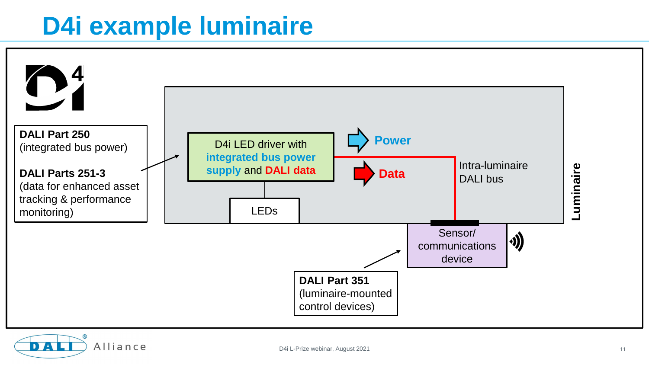#### **D4i example luminaire**



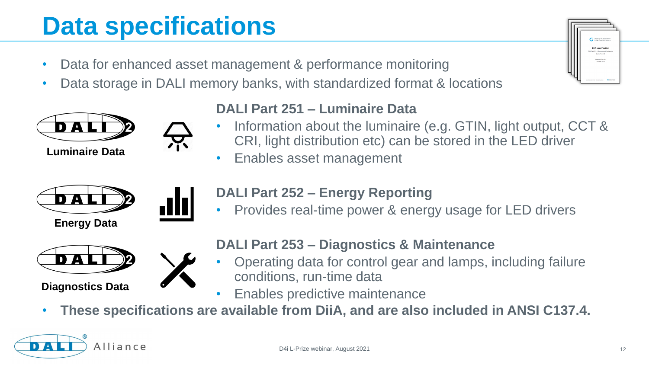#### **Data specifications**

- Data for enhanced asset management & performance monitoring
- Data storage in DALI memory banks, with standardized format & locations



**Luminaire Data**



#### **DALI Part 251 – Luminaire Data**

- Information about the luminaire (e.g. GTIN, light output, CCT & CRI, light distribution etc) can be stored in the LED driver
	- Enables asset management



**Energy Data**



#### **DALI Part 252 – Energy Reporting**

• Provides real-time power & energy usage for LED drivers



**Diagnostics Data**



#### **DALI Part 253 – Diagnostics & Maintenance**

- Operating data for control gear and lamps, including failure conditions, run-time data
- Enables predictive maintenance
- **These specifications are available from DiiA, and are also included in ANSI C137.4.**

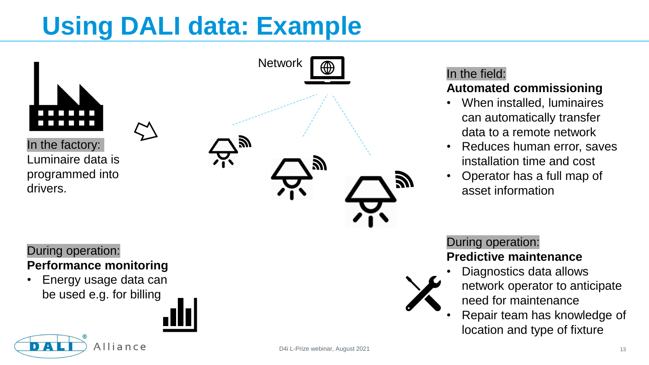### **Using DALI data: Example**



In the factory: Luminaire data is programmed into drivers.

#### During operation: **Performance monitoring**

• Energy usage data can be used e.g. for billing

Alliance



#### In the field:

#### **Automated commissioning**

- When installed, luminaires can automatically transfer data to a remote network
- Reduces human error, saves installation time and cost
- Operator has a full map of asset information

During operation: **Predictive maintenance**

- Diagnostics data allows network operator to anticipate need for maintenance
- Repair team has knowledge of location and type of fixture

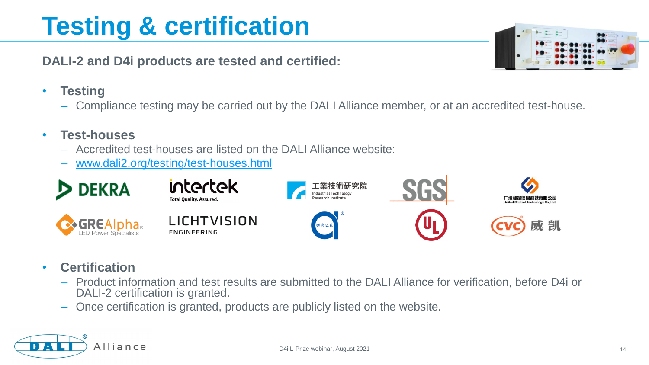#### D4i L-Prize webinar, August 2021 14

## **Testing & certification**

**DALI-2 and D4i products are tested and certified:**

- **Testing**
	- Compliance testing may be carried out by the DALI Alliance member, or at an accredited test-house.

#### • **Test-houses**

- Accredited test-houses are listed on the DALI Alliance website:
- [www.dali2.org/testing/test-houses.html](http://www.dali2.org/testing/test-houses.html)

• **Certification**

**& GREAI** 

- Product information and test results are submitted to the DALI Alliance for verification, before D4i or DALI-2 certification is granted.
- Once certification is granted, products are publicly listed on the website.



威凯



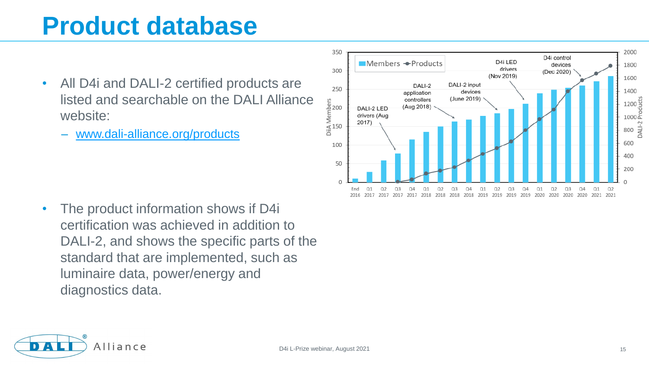#### **Product database**

- All D4i and DALI-2 certified products are listed and searchable on the DALI Alliance website:
	- [www.dali-alliance.org/products](http://www.dali-alliance.org/products)



The product information shows if D4i certification was achieved in addition to DALI-2, and shows the specific parts of the standard that are implemented, such as luminaire data, power/energy and diagnostics data.